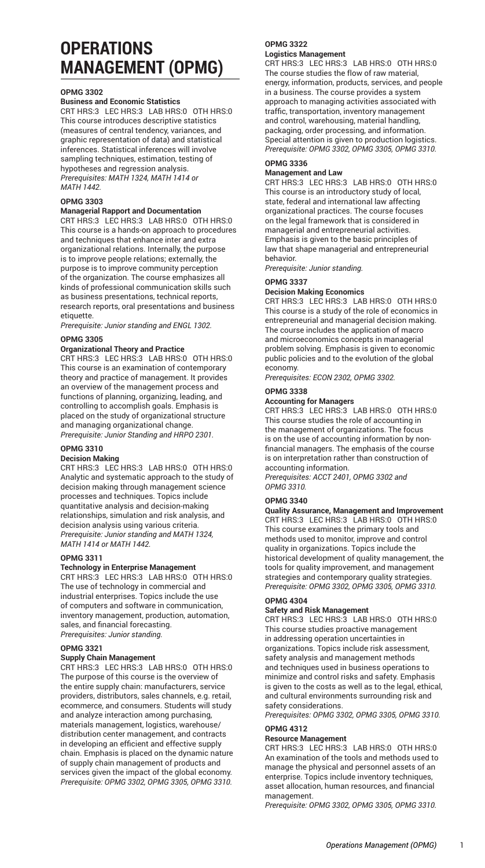# **OPERATIONS MANAGEMENT (OPMG)**

#### **OPMG 3302**

#### **Business and Economic Statistics**

CRT HRS:3 LEC HRS:3 LAB HRS:0 OTH HRS:0 This course introduces descriptive statistics (measures of central tendency, variances, and graphic representation of data) and statistical inferences. Statistical inferences will involve sampling techniques, estimation, testing of hypotheses and regression analysis. *Prerequisites: MATH 1324, MATH 1414 or MATH 1442.*

#### **OPMG 3303**

#### **Managerial Rapport and Documentation**

CRT HRS:3 LEC HRS:3 LAB HRS:0 OTH HRS:0 This course is a hands-on approach to procedures and techniques that enhance inter and extra organizational relations. Internally, the purpose is to improve people relations; externally, the purpose is to improve community perception of the organization. The course emphasizes all kinds of professional communication skills such as business presentations, technical reports, research reports, oral presentations and business etiquette.

*Prerequisite: Junior standing and ENGL 1302.*

#### **OPMG 3305**

#### **Organizational Theory and Practice**

CRT HRS:3 LEC HRS:3 LAB HRS:0 OTH HRS:0 This course is an examination of contemporary theory and practice of management. It provides an overview of the management process and functions of planning, organizing, leading, and controlling to accomplish goals. Emphasis is placed on the study of organizational structure and managing organizational change. *Prerequisite: Junior Standing and HRPO 2301.*

## **OPMG 3310**

## **Decision Making**

CRT HRS:3 LEC HRS:3 LAB HRS:0 OTH HRS:0 Analytic and systematic approach to the study of decision making through management science processes and techniques. Topics include quantitative analysis and decision-making relationships, simulation and risk analysis, and decision analysis using various criteria. *Prerequisite: Junior standing and MATH 1324, MATH 1414 or MATH 1442.*

#### **OPMG 3311**

#### **Technology in Enterprise Management**

CRT HRS:3 LEC HRS:3 LAB HRS:0 OTH HRS:0 The use of technology in commercial and industrial enterprises. Topics include the use of computers and software in communication, inventory management, production, automation, sales, and financial forecasting. *Prerequisites: Junior standing.*

#### **OPMG 3321**

## **Supply Chain Management**

CRT HRS:3 LEC HRS:3 LAB HRS:0 OTH HRS:0 The purpose of this course is the overview of the entire supply chain: manufacturers, service providers, distributors, sales channels, e.g. retail, ecommerce, and consumers. Students will study and analyze interaction among purchasing, materials management, logistics, warehouse/ distribution center management, and contracts in developing an efficient and effective supply chain. Emphasis is placed on the dynamic nature of supply chain management of products and services given the impact of the global economy. *Prerequisite: OPMG 3302, OPMG 3305, OPMG 3310.*

## **OPMG 3322**

**Logistics Management**

CRT HRS:3 LEC HRS:3 LAB HRS:0 OTH HRS:0 The course studies the flow of raw material, energy, information, products, services, and people in a business. The course provides a system approach to managing activities associated with traffic, transportation, inventory management and control, warehousing, material handling, packaging, order processing, and information. Special attention is given to production logistics. *Prerequisite: OPMG 3302, OPMG 3305, OPMG 3310.*

#### **OPMG 3336**

#### **Management and Law**

CRT HRS:3 LEC HRS:3 LAB HRS:0 OTH HRS:0 This course is an introductory study of local, state, federal and international law affecting organizational practices. The course focuses on the legal framework that is considered in managerial and entrepreneurial activities. Emphasis is given to the basic principles of law that shape managerial and entrepreneurial behavior.

*Prerequisite: Junior standing.*

#### **OPMG 3337**

#### **Decision Making Economics**

CRT HRS:3 LEC HRS:3 LAB HRS:0 OTH HRS:0 This course is a study of the role of economics in entrepreneurial and managerial decision making. The course includes the application of macro and microeconomics concepts in managerial problem solving. Emphasis is given to economic public policies and to the evolution of the global economy.

*Prerequisites: ECON 2302, OPMG 3302.*

#### **OPMG 3338**

#### **Accounting for Managers**

CRT HRS:3 LEC HRS:3 LAB HRS:0 OTH HRS:0 This course studies the role of accounting in the management of organizations. The focus is on the use of accounting information by nonfinancial managers. The emphasis of the course is on interpretation rather than construction of accounting information.

*Prerequisites: ACCT 2401, OPMG 3302 and OPMG 3310.*

#### **OPMG 3340**

**Quality Assurance, Management and Improvement** CRT HRS:3 LEC HRS:3 LAB HRS:0 OTH HRS:0 This course examines the primary tools and methods used to monitor, improve and control quality in organizations. Topics include the historical development of quality management, the tools for quality improvement, and management strategies and contemporary quality strategies. *Prerequisite: OPMG 3302, OPMG 3305, OPMG 3310.*

#### **OPMG 4304**

**Safety and Risk Management**

CRT HRS:3 LEC HRS:3 LAB HRS:0 OTH HRS:0 This course studies proactive management in addressing operation uncertainties in organizations. Topics include risk assessment, safety analysis and management methods and techniques used in business operations to minimize and control risks and safety. Emphasis is given to the costs as well as to the legal, ethical, and cultural environments surrounding risk and safety considerations.

*Prerequisites: OPMG 3302, OPMG 3305, OPMG 3310.*

#### **OPMG 4312**

## **Resource Management**

CRT HRS:3 LEC HRS:3 LAB HRS:0 OTH HRS:0 An examination of the tools and methods used to manage the physical and personnel assets of an enterprise. Topics include inventory techniques, asset allocation, human resources, and financial management.

*Prerequisite: OPMG 3302, OPMG 3305, OPMG 3310.*